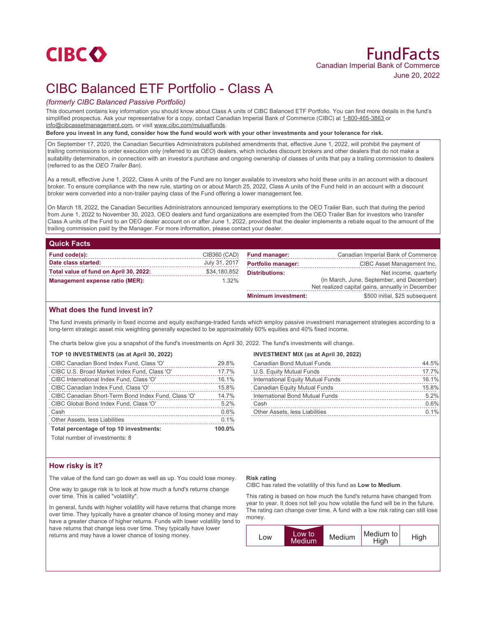# CIBC Balanced ETF Portfolio - Class A

## *(formerly CIBC Balanced Passive Portfolio)*

This document contains key information you should know about Class A units of CIBC Balanced ETF Portfolio. You can find more details in the fund's simplified prospectus. Ask your representative for a copy, contact Canadian Imperial Bank of Commerce (CIBC) at 1-800-465-3863 or info@cibcassetmanagement.com, or visit www.cibc.com/mutualfunds.

**Before you invest in any fund, consider how the fund would work with your other investments and your tolerance for risk.**

On September 17, 2020, the Canadian Securities Administrators published amendments that, effective June 1, 2022, will prohibit the payment of trailing commissions to order execution only (referred to as *OEO*) dealers, which includes discount brokers and other dealers that do not make a suitability determination, in connection with an investor's purchase and ongoing ownership of classes of units that pay a trailing commission to dealers (referred to as the *OEO Trailer Ban*).

As a result, effective June 1, 2022, Class A units of the Fund are no longer available to investors who hold these units in an account with a discount broker. To ensure compliance with the new rule, starting on or about March 25, 2022, Class A units of the Fund held in an account with a discount broker were converted into a non-trailer paying class of the Fund offering a lower management fee.

On March 18, 2022, the Canadian Securities Administrators announced temporary exemptions to the OEO Trailer Ban, such that during the period from June 1, 2022 to November 30, 2023, OEO dealers and fund organizations are exempted from the OEO Trailer Ban for investors who transfer Class A units of the Fund to an OEO dealer account on or after June 1, 2022, provided that the dealer implements a rebate equal to the amount of the trailing commission paid by the Manager. For more information, please contact your dealer.

#### **Quick Facts**

| Fund code(s):                          | CIB360 (CAD)  | <b>Fund manager:</b>       | Canadian Imperial Bank of Commerce                                                            |
|----------------------------------------|---------------|----------------------------|-----------------------------------------------------------------------------------------------|
| Date class started:                    | July 31, 2017 | <b>Portfolio manager:</b>  | CIBC Asset Management Inc.                                                                    |
| Total value of fund on April 30, 2022: | \$34,180,852  | <b>Distributions:</b>      | Net income, quarterly                                                                         |
| Management expense ratio (MER):        | $1.32\%$      |                            | (in March, June, September, and December)<br>Net realized capital gains, annually in December |
|                                        |               | <b>Minimum investment:</b> | \$500 initial, \$25 subsequent                                                                |

### **What does the fund invest in?**

The fund invests primarily in fixed income and equity exchange-traded funds which employ passive investment management strategies according to a long-term strategic asset mix weighting generally expected to be approximately 60% equities and 40% fixed income.

The charts below give you a snapshot of the fund's investments on April 30, 2022. The fund's investments will change.

#### **TOP 10 INVESTMENTS (as at April 30, 2022)**

| CIBC Canadian Bond Index Fund, Class 'O'            | 29.8%  |
|-----------------------------------------------------|--------|
| CIBC U.S. Broad Market Index Fund, Class 'O'        | 17.7%  |
| CIBC International Index Fund, Class 'O'            | 16.1%  |
| CIBC Canadian Index Fund, Class 'O'                 | 15.8%  |
| CIBC Canadian Short-Term Bond Index Fund, Class 'O' | 14.7%  |
| CIBC Global Bond Index Fund. Class 'O'              | 5.2%   |
| Cash                                                | 0.6%   |
| Other Assets, less Liabilities                      | 0.1%   |
| Total percentage of top 10 investments:             | 100.0% |

#### **INVESTMENT MIX (as at April 30, 2022)**

| Canadian Bond Mutual Funds          | 44.5% |
|-------------------------------------|-------|
| U.S. Equity Mutual Funds            | 17.7% |
| International Equity Mutual Funds   | 16.1% |
| <b>Canadian Equity Mutual Funds</b> | 15.8% |
| International Bond Mutual Funds     | 5.2%  |
| Cash                                | 0.6%  |
| Other Assets, less Liabilities      | 0.1%  |
|                                     |       |

Total number of investments: 8

### **How risky is it?**

The value of the fund can go down as well as up. You could lose money.

One way to gauge risk is to look at how much a fund's returns change over time. This is called "volatility".

In general, funds with higher volatility will have returns that change more over time. They typically have a greater chance of losing money and may have a greater chance of higher returns. Funds with lower volatility tend to have returns that change less over time. They typically have lower returns and may have a lower chance of losing money.

#### **Risk rating**

CIBC has rated the volatility of this fund as **Low to Medium**.

This rating is based on how much the fund's returns have changed from year to year. It does not tell you how volatile the fund will be in the future. The rating can change over time. A fund with a low risk rating can still lose money.

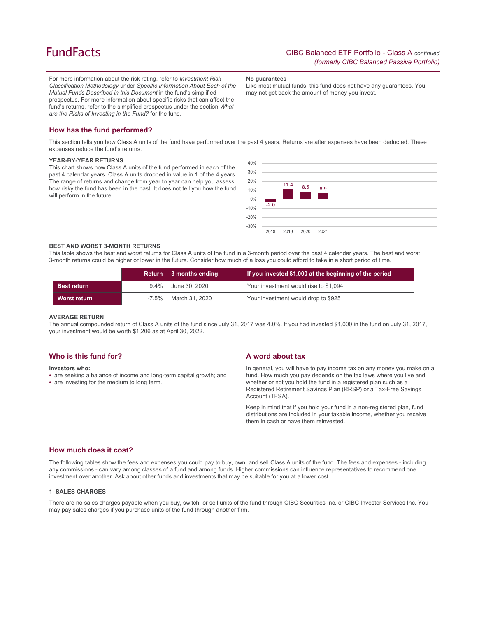## **FundFacts**

For more information about the risk rating, refer to *Investment Risk Classification Methodology* under *Specific Information About Each of the Mutual Funds Described in this Document* in the fund's simplified prospectus. For more information about specific risks that can affect the fund's returns, refer to the simplified prospectus under the section *What are the Risks of Investing in the Fund?* for the fund.

**No guarantees**

Like most mutual funds, this fund does not have any guarantees. You may not get back the amount of money you invest.

## **How has the fund performed?**

This section tells you how Class A units of the fund have performed over the past 4 years. Returns are after expenses have been deducted. These expenses reduce the fund's returns.

#### **YEAR-BY-YEAR RETURNS**

This chart shows how Class A units of the fund performed in each of the past 4 calendar years. Class A units dropped in value in 1 of the 4 years. The range of returns and change from year to year can help you assess how risky the fund has been in the past. It does not tell you how the fund will perform in the future.



#### **BEST AND WORST 3-MONTH RETURNS**

This table shows the best and worst returns for Class A units of the fund in a 3-month period over the past 4 calendar years. The best and worst 3-month returns could be higher or lower in the future. Consider how much of a loss you could afford to take in a short period of time.

|                    |         | Return 3 months ending | If you invested \$1,000 at the beginning of the period |
|--------------------|---------|------------------------|--------------------------------------------------------|
| <b>Best return</b> | $9.4\%$ | June 30, 2020          | Your investment would rise to \$1,094                  |
| Worst return       |         | -7.5%   March 31, 2020 | Your investment would drop to \$925                    |

#### **AVERAGE RETURN**

The annual compounded return of Class A units of the fund since July 31, 2017 was 4.0%. If you had invested \$1,000 in the fund on July 31, 2017, your investment would be worth \$1,206 as at April 30, 2022.

| Who is this fund for?                                                                                                                 | A word about tax                                                                                                                                                                                                                                                                                                                                                                                                                                                                                  |
|---------------------------------------------------------------------------------------------------------------------------------------|---------------------------------------------------------------------------------------------------------------------------------------------------------------------------------------------------------------------------------------------------------------------------------------------------------------------------------------------------------------------------------------------------------------------------------------------------------------------------------------------------|
| Investors who:<br>• are seeking a balance of income and long-term capital growth; and<br>• are investing for the medium to long term. | In general, you will have to pay income tax on any money you make on a<br>fund. How much you pay depends on the tax laws where you live and<br>whether or not you hold the fund in a registered plan such as a<br>Registered Retirement Savings Plan (RRSP) or a Tax-Free Savings<br>Account (TFSA).<br>Keep in mind that if you hold your fund in a non-registered plan, fund<br>distributions are included in your taxable income, whether you receive<br>them in cash or have them reinvested. |
|                                                                                                                                       |                                                                                                                                                                                                                                                                                                                                                                                                                                                                                                   |

#### **How much does it cost?**

The following tables show the fees and expenses you could pay to buy, own, and sell Class A units of the fund. The fees and expenses - including any commissions - can vary among classes of a fund and among funds. Higher commissions can influence representatives to recommend one investment over another. Ask about other funds and investments that may be suitable for you at a lower cost.

#### **1. SALES CHARGES**

There are no sales charges payable when you buy, switch, or sell units of the fund through CIBC Securities Inc. or CIBC Investor Services Inc. You may pay sales charges if you purchase units of the fund through another firm.